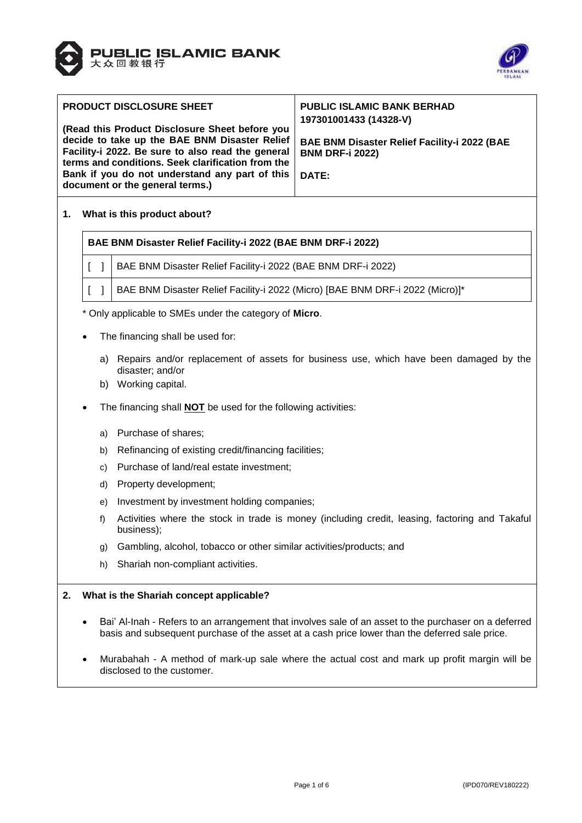



| <b>PRODUCT DISCLOSURE SHEET</b>                                                                                                                                                                                                                                                                | <b>PUBLIC ISLAMIC BANK BERHAD</b><br>197301001433 (14328-V)                            |
|------------------------------------------------------------------------------------------------------------------------------------------------------------------------------------------------------------------------------------------------------------------------------------------------|----------------------------------------------------------------------------------------|
| (Read this Product Disclosure Sheet before you<br>decide to take up the BAE BNM Disaster Relief<br>Facility-i 2022. Be sure to also read the general<br>terms and conditions. Seek clarification from the<br>Bank if you do not understand any part of this<br>document or the general terms.) | <b>BAE BNM Disaster Relief Facility-i 2022 (BAE</b><br><b>BNM DRF-i 2022)</b><br>DATE: |

## **1. What is this product about?**

#### **BAE BNM Disaster Relief Facility-i 2022 (BAE BNM DRF-i 2022)**

- [ ] | BAE BNM Disaster Relief Facility-i 2022 (BAE BNM DRF-i 2022)
- [ ] BAE BNM Disaster Relief Facility-i 2022 (Micro) [BAE BNM DRF-i 2022 (Micro)]\*

\* Only applicable to SMEs under the category of **Micro**.

- The financing shall be used for:
	- a) Repairs and/or replacement of assets for business use, which have been damaged by the disaster; and/or
	- b) Working capital.
- The financing shall **NOT** be used for the following activities:
	- a) Purchase of shares;
	- b) Refinancing of existing credit/financing facilities;
	- c) Purchase of land/real estate investment;
	- d) Property development;
	- e) Investment by investment holding companies;
	- f) Activities where the stock in trade is money (including credit, leasing, factoring and Takaful business);
	- g) Gambling, alcohol, tobacco or other similar activities/products; and
	- h) Shariah non-compliant activities.

#### **2. What is the Shariah concept applicable?**

- Bai' Al-Inah Refers to an arrangement that involves sale of an asset to the purchaser on a deferred basis and subsequent purchase of the asset at a cash price lower than the deferred sale price.
- Murabahah A method of mark-up sale where the actual cost and mark up profit margin will be disclosed to the customer.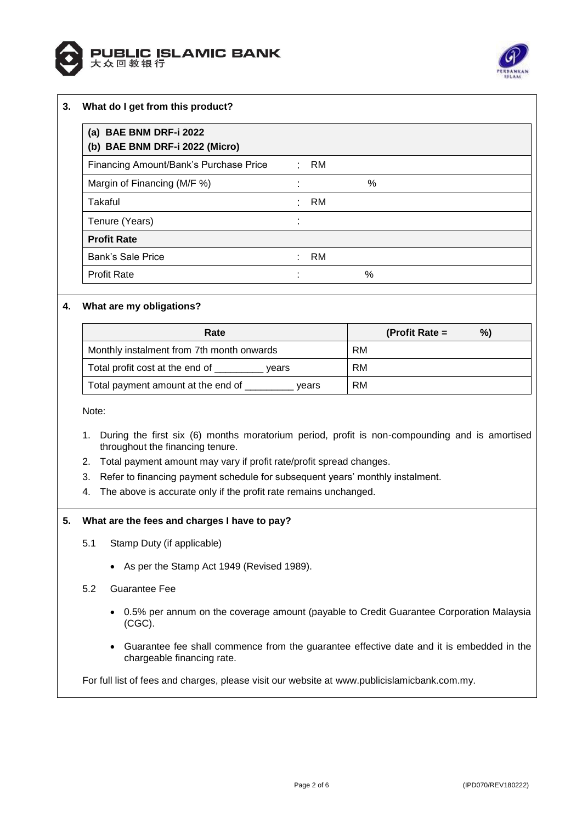



## **3. What do I get from this product?**

| (a) BAE BNM DRF-i 2022<br>(b) BAE BNM DRF-i 2022 (Micro) |    |        |   |  |
|----------------------------------------------------------|----|--------|---|--|
| Financing Amount/Bank's Purchase Price                   |    | $:$ RM |   |  |
| Margin of Financing (M/F %)                              |    |        | % |  |
| Takaful                                                  |    | RM     |   |  |
| Tenure (Years)                                           |    |        |   |  |
| <b>Profit Rate</b>                                       |    |        |   |  |
| <b>Bank's Sale Price</b>                                 | t. | RM     |   |  |
| <b>Profit Rate</b>                                       | ٠  |        | % |  |

# **4. What are my obligations?**

| Rate                                        | %)<br>(Profit Rate $=$ |
|---------------------------------------------|------------------------|
| Monthly instalment from 7th month onwards   | RM                     |
| Total profit cost at the end of<br>vears    | RM                     |
| Total payment amount at the end of<br>vears | RM                     |

Note:

- 1. During the first six (6) months moratorium period, profit is non-compounding and is amortised throughout the financing tenure.
- 2. Total payment amount may vary if profit rate/profit spread changes.
- 3. Refer to financing payment schedule for subsequent years' monthly instalment.
- 4. The above is accurate only if the profit rate remains unchanged.

#### **5. What are the fees and charges I have to pay?**

- 5.1 Stamp Duty (if applicable)
	- As per the Stamp Act 1949 (Revised 1989).
- 5.2 Guarantee Fee
	- 0.5% per annum on the coverage amount (payable to Credit Guarantee Corporation Malaysia (CGC).
	- Guarantee fee shall commence from the guarantee effective date and it is embedded in the chargeable financing rate.

For full list of fees and charges, please visit our website at [www.publicislamicbank.com.my.](http://www.publicislamicbank.com.my/)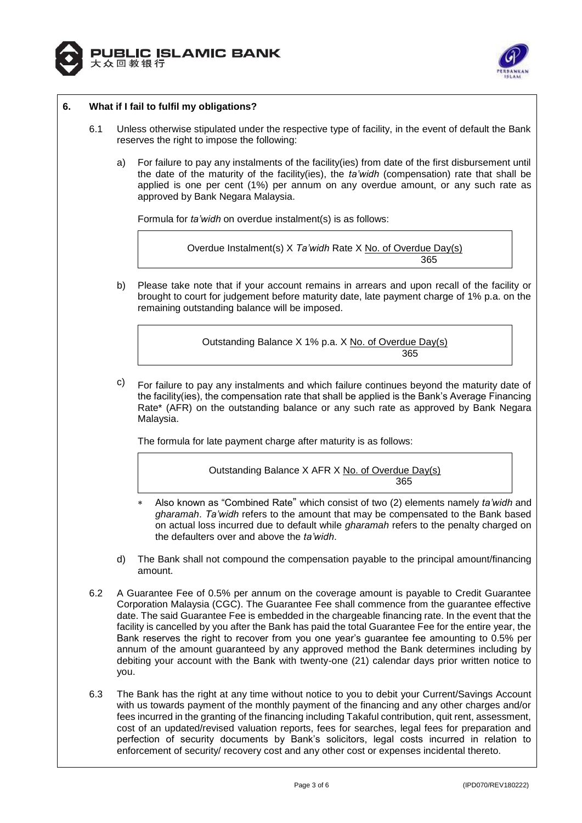



## **6. What if I fail to fulfil my obligations?**

- 6.1 Unless otherwise stipulated under the respective type of facility, in the event of default the Bank reserves the right to impose the following:
	- a) For failure to pay any instalments of the facility(ies) from date of the first disbursement until the date of the maturity of the facility(ies), the *ta'widh* (compensation) rate that shall be applied is one per cent (1%) per annum on any overdue amount, or any such rate as approved by Bank Negara Malaysia.

Formula for *ta'widh* on overdue instalment(s) is as follows:

Overdue Instalment(s) X *Ta'widh* Rate X No. of Overdue Day(s) 365

b) Please take note that if your account remains in arrears and upon recall of the facility or brought to court for judgement before maturity date, late payment charge of 1% p.a. on the remaining outstanding balance will be imposed.

Outstanding Balance X 1% p.a. X No. of Overdue Day(s) 365

 $\degree$  For failure to pay any instalments and which failure continues beyond the maturity date of the facility(ies), the compensation rate that shall be applied is the Bank's Average Financing Rate\* (AFR) on the outstanding balance or any such rate as approved by Bank Negara Malaysia.

The formula for late payment charge after maturity is as follows:

# Outstanding Balance X AFR X No. of Overdue Day(s) <u>365 - Johann Barnett, amerikansk politik (</u>

- Also known as "Combined Rate" which consist of two (2) elements namely *ta'widh* and *gharamah*. *Ta'widh* refers to the amount that may be compensated to the Bank based on actual loss incurred due to default while *gharamah* refers to the penalty charged on the defaulters over and above the *ta'widh*.
- d) The Bank shall not compound the compensation payable to the principal amount/financing amount.
- 6.2 A Guarantee Fee of 0.5% per annum on the coverage amount is payable to Credit Guarantee Corporation Malaysia (CGC). The Guarantee Fee shall commence from the guarantee effective date. The said Guarantee Fee is embedded in the chargeable financing rate. In the event that the facility is cancelled by you after the Bank has paid the total Guarantee Fee for the entire year, the Bank reserves the right to recover from you one year's guarantee fee amounting to 0.5% per annum of the amount guaranteed by any approved method the Bank determines including by debiting your account with the Bank with twenty-one (21) calendar days prior written notice to you.
- 6.3 The Bank has the right at any time without notice to you to debit your Current/Savings Account with us towards payment of the monthly payment of the financing and any other charges and/or fees incurred in the granting of the financing including Takaful contribution, quit rent, assessment, cost of an updated/revised valuation reports, fees for searches, legal fees for preparation and perfection of security documents by Bank's solicitors, legal costs incurred in relation to enforcement of security/ recovery cost and any other cost or expenses incidental thereto.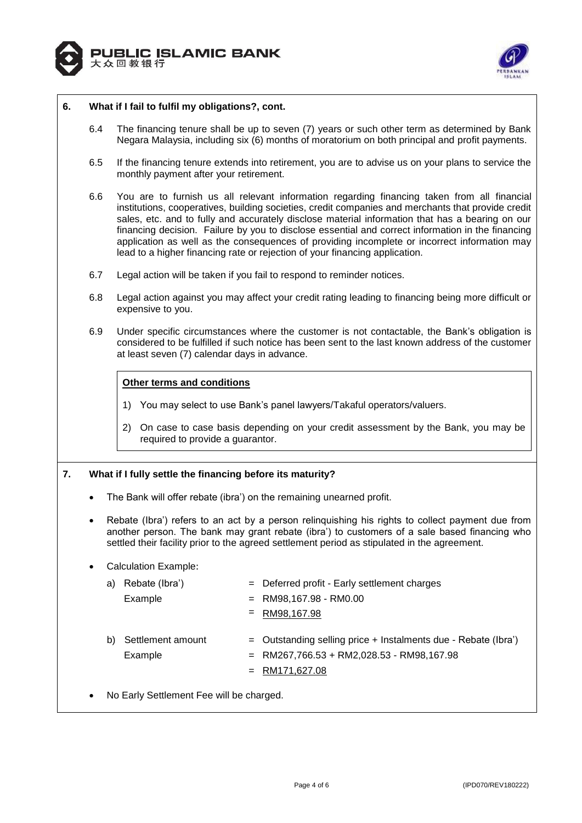



#### **6. What if I fail to fulfil my obligations?, cont.**

- 6.4 The financing tenure shall be up to seven (7) years or such other term as determined by Bank Negara Malaysia, including six (6) months of moratorium on both principal and profit payments.
- 6.5 If the financing tenure extends into retirement, you are to advise us on your plans to service the monthly payment after your retirement.
- 6.6 You are to furnish us all relevant information regarding financing taken from all financial institutions, cooperatives, building societies, credit companies and merchants that provide credit sales, etc. and to fully and accurately disclose material information that has a bearing on our financing decision. Failure by you to disclose essential and correct information in the financing application as well as the consequences of providing incomplete or incorrect information may lead to a higher financing rate or rejection of your financing application.
- 6.7 Legal action will be taken if you fail to respond to reminder notices.
- 6.8 Legal action against you may affect your credit rating leading to financing being more difficult or expensive to you.
- 6.9 Under specific circumstances where the customer is not contactable, the Bank's obligation is considered to be fulfilled if such notice has been sent to the last known address of the customer at least seven (7) calendar days in advance.

#### **Other terms and conditions**

- 1) You may select to use Bank's panel lawyers/Takaful operators/valuers.
- 2) On case to case basis depending on your credit assessment by the Bank, you may be required to provide a guarantor.

# **7. What if I fully settle the financing before its maturity?**

- The Bank will offer rebate (ibra') on the remaining unearned profit.
- Rebate (Ibra') refers to an act by a person relinquishing his rights to collect payment due from another person. The bank may grant rebate (ibra') to customers of a sale based financing who settled their facility prior to the agreed settlement period as stipulated in the agreement.

#### Calculation Example:

| a) | Rebate (Ibra')               |     | $=$ Deferred profit - Early settlement charges                                                                                      |
|----|------------------------------|-----|-------------------------------------------------------------------------------------------------------------------------------------|
|    | Example                      | $=$ | RM98,167.98 - RM0.00                                                                                                                |
|    |                              | $=$ | RM98,167.98                                                                                                                         |
| b) | Settlement amount<br>Example |     | $=$ Outstanding selling price + Instalments due - Rebate (Ibra')<br>$=$ RM267,766.53 + RM2,028.53 - RM98,167.98<br>$=$ RM171,627.08 |

No Early Settlement Fee will be charged.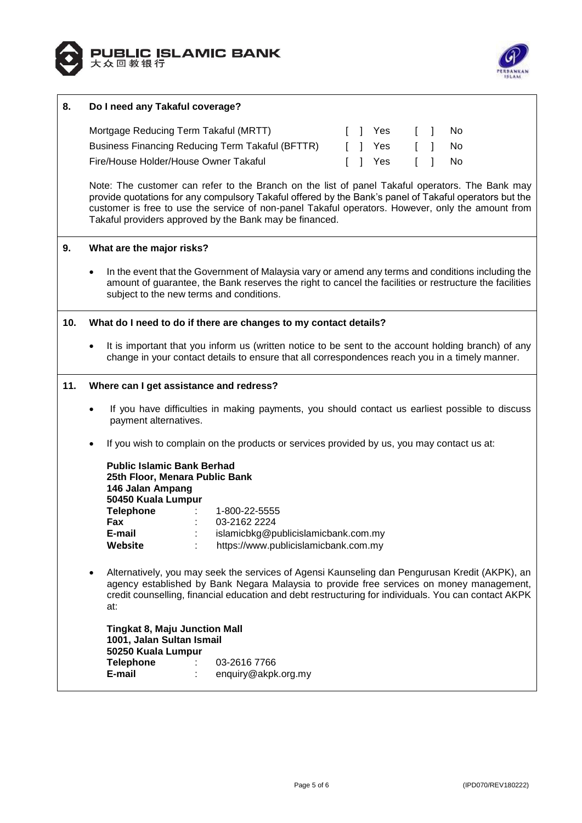



## **8. Do I need any Takaful coverage?**

| Mortgage Reducing Term Takaful (MRTT)            |  | II Yes  |  | II NO |
|--------------------------------------------------|--|---------|--|-------|
| Business Financing Reducing Term Takaful (BFTTR) |  | [ ] Yes |  | II NO |
| Fire/House Holder/House Owner Takaful            |  | II Yes  |  | II NO |

Note: The customer can refer to the Branch on the list of panel Takaful operators. The Bank may provide quotations for any compulsory Takaful offered by the Bank's panel of Takaful operators but the customer is free to use the service of non-panel Takaful operators. However, only the amount from Takaful providers approved by the Bank may be financed.

#### **9. What are the major risks?**

 In the event that the Government of Malaysia vary or amend any terms and conditions including the amount of guarantee, the Bank reserves the right to cancel the facilities or restructure the facilities subject to the new terms and conditions.

#### **10. What do I need to do if there are changes to my contact details?**

 It is important that you inform us (written notice to be sent to the account holding branch) of any change in your contact details to ensure that all correspondences reach you in a timely manner.

#### **11. Where can I get assistance and redress?**

- If you have difficulties in making payments, you should contact us earliest possible to discuss payment alternatives.
- If you wish to complain on the products or services provided by us, you may contact us at:

| <b>Public Islamic Bank Berhad</b><br>25th Floor, Menara Public Bank<br>146 Jalan Ampang<br>50450 Kuala Lumpur |                                      |
|---------------------------------------------------------------------------------------------------------------|--------------------------------------|
| <b>Telephone</b>                                                                                              | 1-800-22-5555                        |
| Fax                                                                                                           | 03-2162 2224                         |
| E-mail                                                                                                        | islamicbkg@publicislamicbank.com.my  |
| Website                                                                                                       | https://www.publicislamicbank.com.my |

 Alternatively, you may seek the services of Agensi Kaunseling dan Pengurusan Kredit (AKPK), an agency established by Bank Negara Malaysia to provide free services on money management, credit counselling, financial education and debt restructuring for individuals. You can contact AKPK at:

**Tingkat 8, Maju Junction Mall 1001, Jalan Sultan Ismail 50250 Kuala Lumpur Telephone** : 03-2616 7766 **E-mail** : enquiry@akpk.org.my